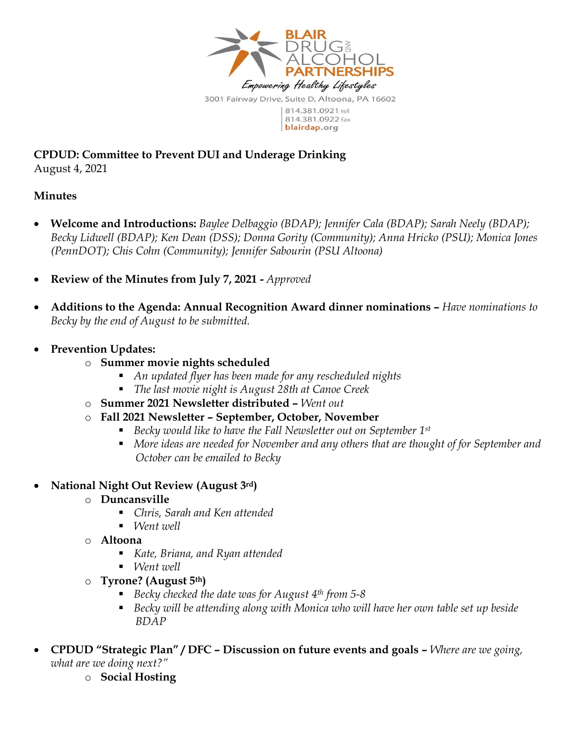

**CPDUD: Committee to Prevent DUI and Underage Drinking** August 4, 2021

### **Minutes**

- **Welcome and Introductions:** *Baylee Delbaggio (BDAP); Jennifer Cala (BDAP); Sarah Neely (BDAP); Becky Lidwell (BDAP); Ken Dean (DSS); Donna Gority (Community); Anna Hricko (PSU); Monica Jones (PennDOT); Chis Cohn (Community); Jennifer Sabourin (PSU Altoona)*
- **Review of the Minutes from July 7, 2021 -** *Approved*
- **Additions to the Agenda: Annual Recognition Award dinner nominations –** *Have nominations to Becky by the end of August to be submitted.*
- **Prevention Updates:** 
	- o **Summer movie nights scheduled** 
		- *An updated flyer has been made for any rescheduled nights*
		- *The last movie night is August 28th at Canoe Creek*
	- o **Summer 2021 Newsletter distributed –** *Went out*
	- o **Fall 2021 Newsletter – September, October, November**
		- *Becky would like to have the Fall Newsletter out on September 1st*
		- *More ideas are needed for November and any others that are thought of for September and October can be emailed to Becky*
- **National Night Out Review (August 3rd)**
	- o **Duncansville**
		- *Chris, Sarah and Ken attended*
		- *Went well*
	- o **Altoona**
		- *Kate, Briana, and Ryan attended*
		- *Went well*
	- o **Tyrone? (August 5th)**
		- *Becky checked the date was for August 4th from 5-8*
		- **Becky will be attending along with Monica who will have her own table set up beside** *BDAP*
- **CPDUD "Strategic Plan" / DFC – Discussion on future events and goals –** *Where are we going, what are we doing next?"*
	- o **Social Hosting**